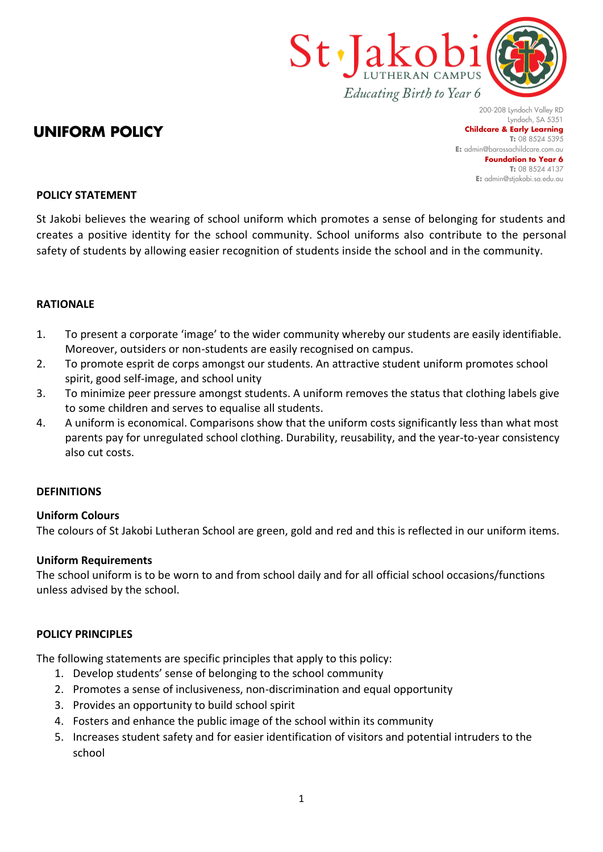

# **UNIFORM POLICY**

200-208 Lyndoch Valley RD Lyndoch, SA 5351 **Childcare & Early Learning T:** 08 8524 5395 **E:** [admin@barossachildcare.com.au](mailto:admin@barossachildcare.com.au) **Foundation to Year 6 T:** 08 8524 4137 **E:** admin@stjakobi.sa.edu.au

## **POLICY STATEMENT**

St Jakobi believes the wearing of school uniform which promotes a sense of belonging for students and creates a positive identity for the school community. School uniforms also contribute to the personal safety of students by allowing easier recognition of students inside the school and in the community.

### **RATIONALE**

- 1. To present a corporate 'image' to the wider community whereby our students are easily identifiable. Moreover, outsiders or non-students are easily recognised on campus.
- 2. To promote esprit de corps amongst our students. An attractive student uniform promotes school spirit, good self-image, and school unity
- 3. To minimize peer pressure amongst students. A uniform removes the status that clothing labels give to some children and serves to equalise all students.
- 4. A uniform is economical. Comparisons show that the uniform costs significantly less than what most parents pay for unregulated school clothing. Durability, reusability, and the year-to-year consistency also cut costs.

#### **DEFINITIONS**

#### **Uniform Colours**

The colours of St Jakobi Lutheran School are green, gold and red and this is reflected in our uniform items.

#### **Uniform Requirements**

The school uniform is to be worn to and from school daily and for all official school occasions/functions unless advised by the school.

#### **POLICY PRINCIPLES**

The following statements are specific principles that apply to this policy:

- 1. Develop students' sense of belonging to the school community
- 2. Promotes a sense of inclusiveness, non-discrimination and equal opportunity
- 3. Provides an opportunity to build school spirit
- 4. Fosters and enhance the public image of the school within its community
- 5. Increases student safety and for easier identification of visitors and potential intruders to the school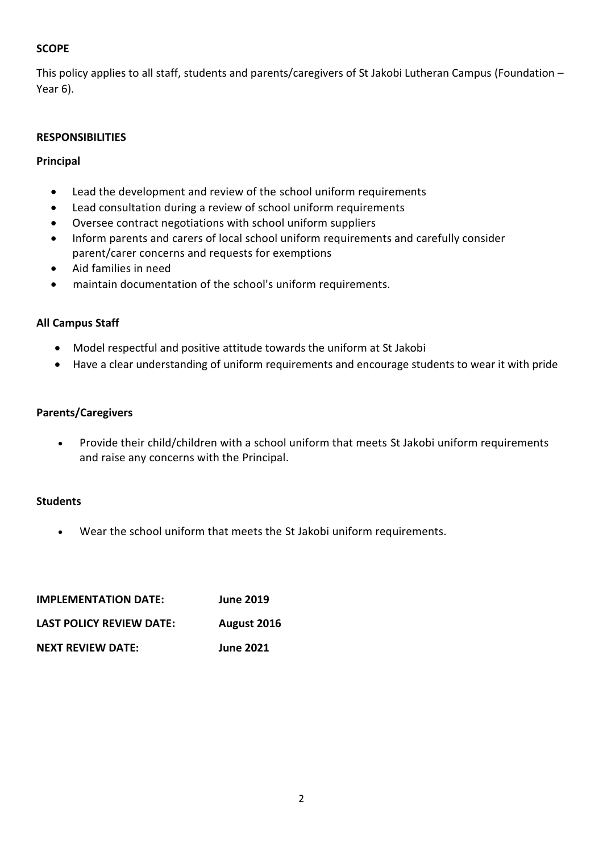# **SCOPE**

This policy applies to all staff, students and parents/caregivers of St Jakobi Lutheran Campus (Foundation – Year 6).

## **RESPONSIBILITIES**

## **Principal**

- Lead the development and review of the school uniform requirements
- Lead consultation during a review of school uniform requirements
- Oversee contract negotiations with school uniform suppliers
- Inform parents and carers of local school uniform requirements and carefully consider parent/carer concerns and requests for exemptions
- Aid families in need
- maintain documentation of the school's uniform requirements.

# **All Campus Staff**

- Model respectful and positive attitude towards the uniform at St Jakobi
- Have a clear understanding of uniform requirements and encourage students to wear it with pride

## **Parents/Caregivers**

• Provide their child/children with a school uniform that meets St Jakobi uniform requirements and raise any concerns with the Principal.

## **Students**

• Wear the school uniform that meets the St Jakobi uniform requirements.

| <b>IMPLEMENTATION DATE:</b> | <b>June 2019</b> |
|-----------------------------|------------------|
| LAST POLICY REVIEW DATE:    | August 2016      |
| <b>NEXT REVIEW DATE:</b>    | <b>June 2021</b> |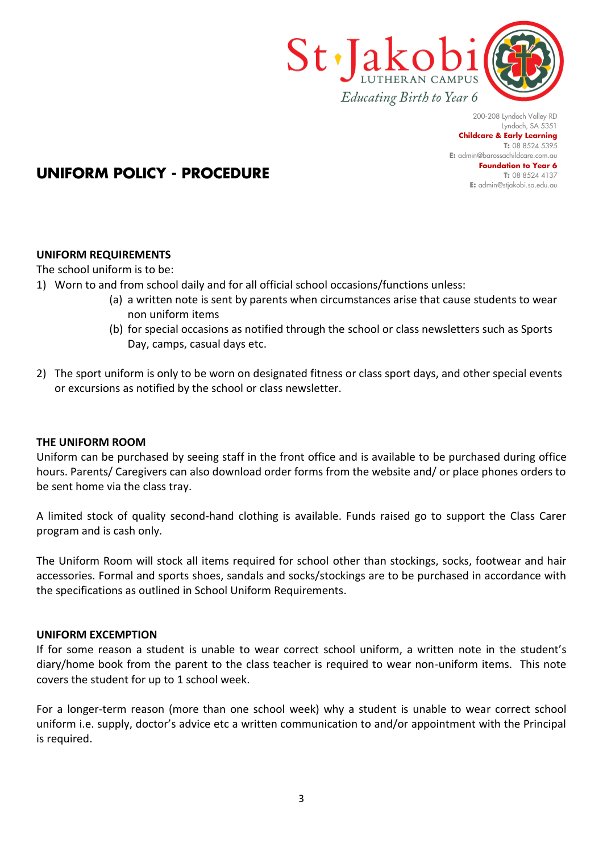

200-208 Lyndoch Valley RD Lyndoch, SA 5351 **Childcare & Early Learning T:** 08 8524 5395 **E:** [admin@barossachildcare.com.au](mailto:admin@barossachildcare.com.au) **Foundation to Year 6 T:** 08 8524 4137 **E:** admin@stjakobi.sa.edu.au

# **UNIFORM POLICY - PROCEDURE**

# **UNIFORM REQUIREMENTS**

The school uniform is to be:

- 1) Worn to and from school daily and for all official school occasions/functions unless:
	- (a) a written note is sent by parents when circumstances arise that cause students to wear non uniform items
	- (b) for special occasions as notified through the school or class newsletters such as Sports Day, camps, casual days etc.
- 2) The sport uniform is only to be worn on designated fitness or class sport days, and other special events or excursions as notified by the school or class newsletter.

## **THE UNIFORM ROOM**

Uniform can be purchased by seeing staff in the front office and is available to be purchased during office hours. Parents/ Caregivers can also download order forms from the website and/ or place phones orders to be sent home via the class tray.

A limited stock of quality second-hand clothing is available. Funds raised go to support the Class Carer program and is cash only.

The Uniform Room will stock all items required for school other than stockings, socks, footwear and hair accessories. Formal and sports shoes, sandals and socks/stockings are to be purchased in accordance with the specifications as outlined in School Uniform Requirements.

## **UNIFORM EXCEMPTION**

If for some reason a student is unable to wear correct school uniform, a written note in the student's diary/home book from the parent to the class teacher is required to wear non-uniform items. This note covers the student for up to 1 school week.

For a longer-term reason (more than one school week) why a student is unable to wear correct school uniform i.e. supply, doctor's advice etc a written communication to and/or appointment with the Principal is required.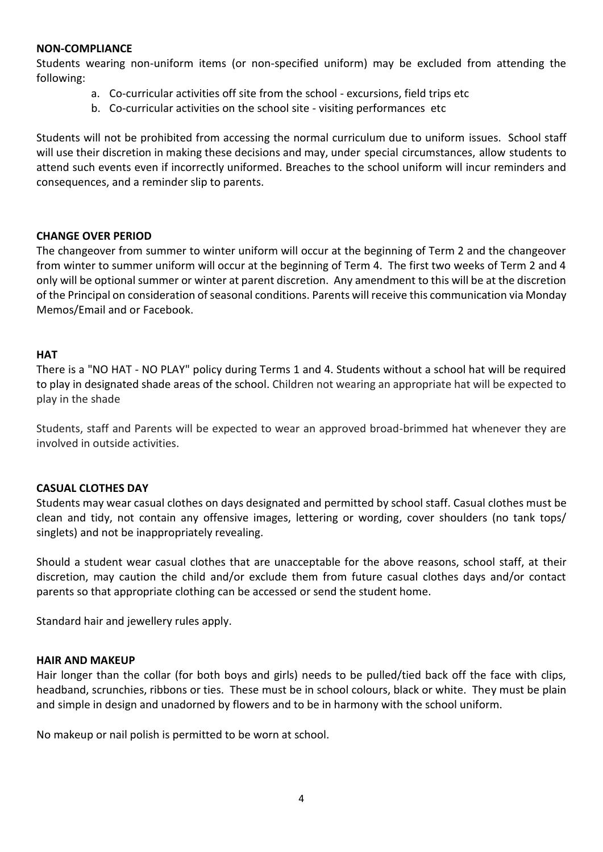## **NON-COMPLIANCE**

Students wearing non-uniform items (or non-specified uniform) may be excluded from attending the following:

- a. Co-curricular activities off site from the school excursions, field trips etc
- b. Co-curricular activities on the school site visiting performances etc

Students will not be prohibited from accessing the normal curriculum due to uniform issues. School staff will use their discretion in making these decisions and may, under special circumstances, allow students to attend such events even if incorrectly uniformed. Breaches to the school uniform will incur reminders and consequences, and a reminder slip to parents.

## **CHANGE OVER PERIOD**

The changeover from summer to winter uniform will occur at the beginning of Term 2 and the changeover from winter to summer uniform will occur at the beginning of Term 4. The first two weeks of Term 2 and 4 only will be optional summer or winter at parent discretion. Any amendment to this will be at the discretion of the Principal on consideration of seasonal conditions. Parents will receive this communication via Monday Memos/Email and or Facebook.

## **HAT**

There is a "NO HAT - NO PLAY" policy during Terms 1 and 4. Students without a school hat will be required to play in designated shade areas of the school. Children not wearing an appropriate hat will be expected to play in the shade

Students, staff and Parents will be expected to wear an approved broad-brimmed hat whenever they are involved in outside activities.

## **CASUAL CLOTHES DAY**

Students may wear casual clothes on days designated and permitted by school staff. Casual clothes must be clean and tidy, not contain any offensive images, lettering or wording, cover shoulders (no tank tops/ singlets) and not be inappropriately revealing.

Should a student wear casual clothes that are unacceptable for the above reasons, school staff, at their discretion, may caution the child and/or exclude them from future casual clothes days and/or contact parents so that appropriate clothing can be accessed or send the student home.

Standard hair and jewellery rules apply.

## **HAIR AND MAKEUP**

Hair longer than the collar (for both boys and girls) needs to be pulled/tied back off the face with clips, headband, scrunchies, ribbons or ties. These must be in school colours, black or white. They must be plain and simple in design and unadorned by flowers and to be in harmony with the school uniform.

No makeup or nail polish is permitted to be worn at school.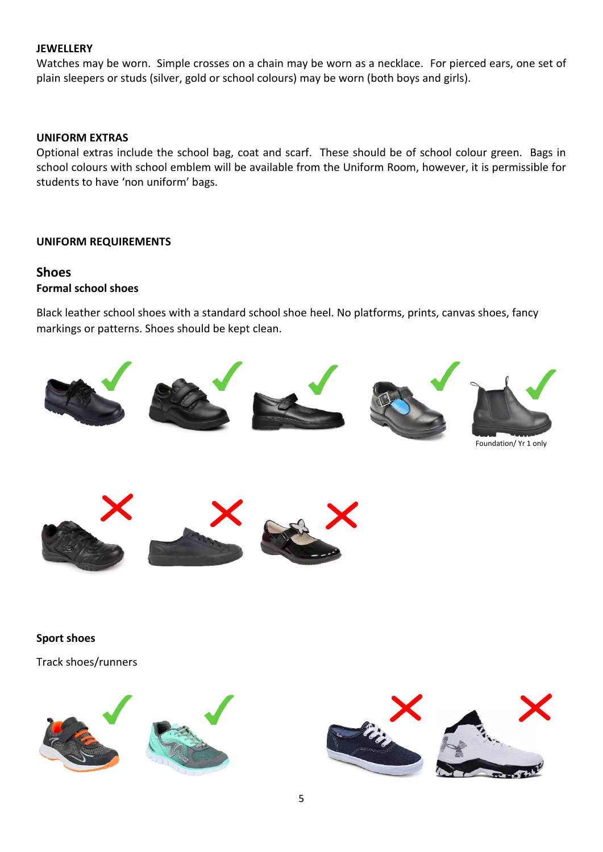## **JEWELLERY**

Watches may be worn. Simple crosses on a chain may be worn as a necklace. For pierced ears, one set of plain sleepers or studs (silver, gold or school colours) may be worn (both boys and girls).

## **UNIFORM EXTRAS**

Optional extras include the school bag, coat and scarf. These should be of school colour green. Bags in school colours with school emblem will be available from the Uniform Room, however, it is permissible for students to have 'non uniform' bags.

### **UNIFORM REQUIREMENTS**

## **Shoes Formal school shoes**

Black leather school shoes with a standard school shoe heel. No platforms, prints, canvas shoes, fancy markings or patterns. Shoes should be kept clean.